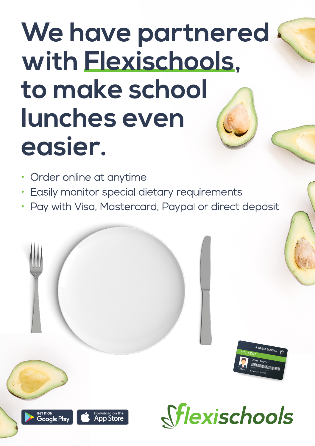# **We have partnered with Flexischools, to make school lunches even easier.**

- Order online at anytime
- Easily monitor special dietary requirements
- Pay with Visa, Mastercard, Paypal or direct deposit